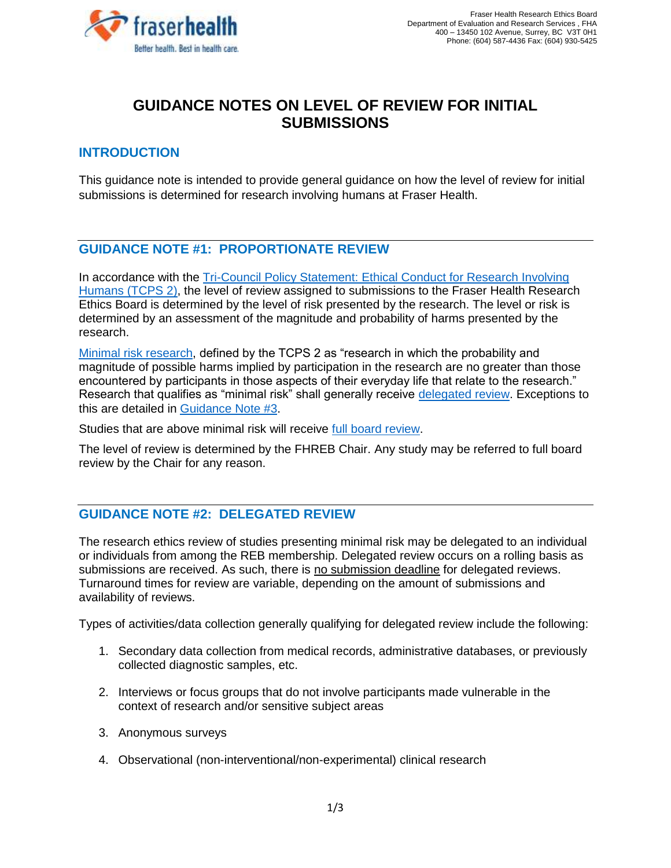

# **GUIDANCE NOTES ON LEVEL OF REVIEW FOR INITIAL SUBMISSIONS**

# **INTRODUCTION**

This guidance note is intended to provide general guidance on how the level of review for initial submissions is determined for research involving humans at Fraser Health.

### **GUIDANCE NOTE #1: PROPORTIONATE REVIEW**

In accordance with the Tri-Council Policy Statement: Ethical Conduct for Research Involving [Humans \(TCPS 2\),](https://ethics.gc.ca/eng/tcps2-eptc2_2018_chapter2-chapitre2.html#b) the level of review assigned to submissions to the Fraser Health Research Ethics Board is determined by the level of risk presented by the research. The level or risk is determined by an assessment of the magnitude and probability of harms presented by the research.

[Minimal risk research,](https://ethics.gc.ca/eng/tcps2-eptc2_2018_chapter2-chapitre2.html#b) defined by the TCPS 2 as "research in which the probability and magnitude of possible harms implied by participation in the research are no greater than those encountered by participants in those aspects of their everyday life that relate to the research." Research that qualifies as "minimal risk" shall generally receive [delegated review.](#page-0-0) Exceptions to this are detailed in [Guidance Note #3.](#page-1-0)

Studies that are above minimal risk will receive [full board review.](#page-1-0)

The level of review is determined by the FHREB Chair. Any study may be referred to full board review by the Chair for any reason.

# <span id="page-0-0"></span>**GUIDANCE NOTE #2: DELEGATED REVIEW**

The research ethics review of studies presenting minimal risk may be delegated to an individual or individuals from among the REB membership. Delegated review occurs on a rolling basis as submissions are received. As such, there is no submission deadline for delegated reviews. Turnaround times for review are variable, depending on the amount of submissions and availability of reviews.

Types of activities/data collection generally qualifying for delegated review include the following:

- 1. Secondary data collection from medical records, administrative databases, or previously collected diagnostic samples, etc.
- 2. Interviews or focus groups that do not involve participants made vulnerable in the context of research and/or sensitive subject areas
- 3. Anonymous surveys
- 4. Observational (non-interventional/non-experimental) clinical research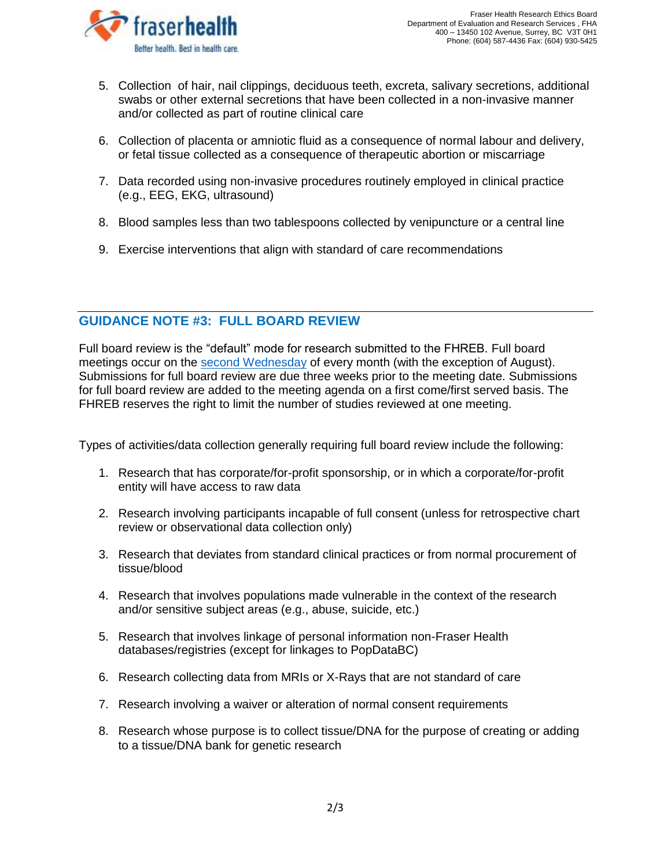

- 5. Collection of hair, nail clippings, deciduous teeth, excreta, salivary secretions, additional swabs or other external secretions that have been collected in a non-invasive manner and/or collected as part of routine clinical care
- 6. Collection of placenta or amniotic fluid as a consequence of normal labour and delivery, or fetal tissue collected as a consequence of therapeutic abortion or miscarriage
- 7. Data recorded using non-invasive procedures routinely employed in clinical practice (e.g., EEG, EKG, ultrasound)
- 8. Blood samples less than two tablespoons collected by venipuncture or a central line
- 9. Exercise interventions that align with standard of care recommendations

# <span id="page-1-0"></span>**GUIDANCE NOTE #3: FULL BOARD REVIEW**

Full board review is the "default" mode for research submitted to the FHREB. Full board meetings occur on the [second Wednesday](https://www.fraserhealth.ca/employees/research-and-evaluation/research-ethics-and-other-approvals/fraser-health-research-ethics-board-membership-and-meeting-schedule#.Xl1MJ75KiUk) of every month (with the exception of August). Submissions for full board review are due three weeks prior to the meeting date. Submissions for full board review are added to the meeting agenda on a first come/first served basis. The FHREB reserves the right to limit the number of studies reviewed at one meeting.

Types of activities/data collection generally requiring full board review include the following:

- 1. Research that has corporate/for-profit sponsorship, or in which a corporate/for-profit entity will have access to raw data
- 2. Research involving participants incapable of full consent (unless for retrospective chart review or observational data collection only)
- 3. Research that deviates from standard clinical practices or from normal procurement of tissue/blood
- 4. Research that involves populations made vulnerable in the context of the research and/or sensitive subject areas (e.g., abuse, suicide, etc.)
- 5. Research that involves linkage of personal information non-Fraser Health databases/registries (except for linkages to PopDataBC)
- 6. Research collecting data from MRIs or X-Rays that are not standard of care
- 7. Research involving a waiver or alteration of normal consent requirements
- 8. Research whose purpose is to collect tissue/DNA for the purpose of creating or adding to a tissue/DNA bank for genetic research